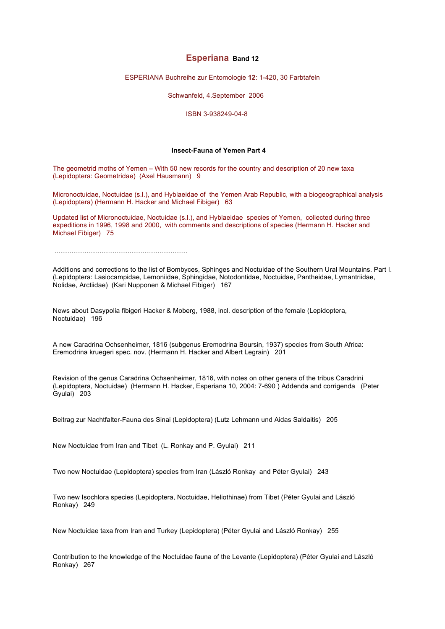# **Esperiana Band 12**

ESPERIANA Buchreihe zur Entomologie **12**: 1-420, 30 Farbtafeln

Schwanfeld, 4.September 2006

ISBN 3-938249-04-8

### **Insect-Fauna of Yemen Part 4**

The geometrid moths of Yemen – With 50 new records for the country and description of 20 new taxa (Lepidoptera: Geometridae) (Axel Hausmann) 9

Micronoctuidae, Noctuidae (s.l.), and Hyblaeidae of the Yemen Arab Republic, with a biogeographical analysis (Lepidoptera) (Hermann H. Hacker and Michael Fibiger) 63

Updated list of Micronoctuidae, Noctuidae (s.l.), and Hyblaeidae species of Yemen, collected during three expeditions in 1996, 1998 and 2000, with comments and descriptions of species (Hermann H. Hacker and Michael Fibiger) 75

.......................................................................

Additions and corrections to the list of Bombyces, Sphinges and Noctuidae of the Southern Ural Mountains. Part I. (Lepidoptera: Lasiocampidae, Lemoniidae, Sphingidae, Notodontidae, Noctuidae, Pantheidae, Lymantriidae, Nolidae, Arctiidae) (Kari Nupponen & Michael Fibiger) 167

News about Dasypolia fibigeri Hacker & Moberg, 1988, incl. description of the female (Lepidoptera, Noctuidae) 196

A new Caradrina Ochsenheimer, 1816 (subgenus Eremodrina Boursin, 1937) species from South Africa: Eremodrina kruegeri spec. nov. (Hermann H. Hacker and Albert Legrain) 201

Revision of the genus Caradrina Ochsenheimer, 1816, with notes on other genera of the tribus Caradrini (Lepidoptera, Noctuidae) (Hermann H. Hacker, Esperiana 10, 2004: 7-690 ) Addenda and corrigenda (Peter Gyulai) 203

Beitrag zur Nachtfalter-Fauna des Sinai (Lepidoptera) (Lutz Lehmann und Aidas Saldaitis) 205

New Noctuidae from Iran and Tibet (L. Ronkay and P. Gyulai) 211

Two new Noctuidae (Lepidoptera) species from Iran (László Ronkay and Péter Gyulai) 243

Two new Isochlora species (Lepidoptera, Noctuidae, Heliothinae) from Tibet (Péter Gyulai and László Ronkay) 249

New Noctuidae taxa from Iran and Turkey (Lepidoptera) (Péter Gyulai and László Ronkay) 255

Contribution to the knowledge of the Noctuidae fauna of the Levante (Lepidoptera) (Péter Gyulai and László Ronkay) 267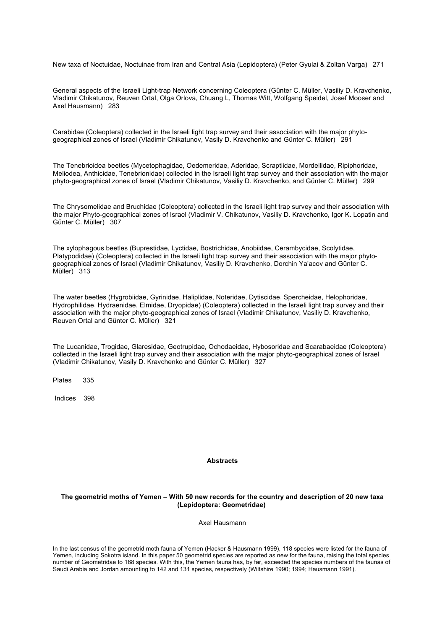New taxa of Noctuidae, Noctuinae from Iran and Central Asia (Lepidoptera) (Peter Gyulai & Zoltan Varga) 271

General aspects of the Israeli Light-trap Network concerning Coleoptera (Günter C. Müller, Vasiliy D. Kravchenko, Vladimir Chikatunov, Reuven Ortal, Olga Orlova, Chuang L, Thomas Witt, Wolfgang Speidel, Josef Mooser and Axel Hausmann) 283

Carabidae (Coleoptera) collected in the Israeli light trap survey and their association with the major phytogeographical zones of Israel (Vladimir Chikatunov, Vasily D. Kravchenko and Günter C. Müller) 291

The Tenebrioidea beetles (Mycetophagidae, Oedemeridae, Aderidae, Scraptiidae, Mordellidae, Ripiphoridae, Meliodea, Anthicidae, Tenebrionidae) collected in the Israeli light trap survey and their association with the major phyto-geographical zones of Israel (Vladimir Chikatunov, Vasiliy D. Kravchenko, and Günter C. Müller) 299

The Chrysomelidae and Bruchidae (Coleoptera) collected in the Israeli light trap survey and their association with the major Phyto-geographical zones of Israel (Vladimir V. Chikatunov, Vasiliy D. Kravchenko, Igor K. Lopatin and Günter C. Müller) 307

The xylophagous beetles (Buprestidae, Lyctidae, Bostrichidae, Anobiidae, Cerambycidae, Scolytidae, Platypodidae) (Coleoptera) collected in the Israeli light trap survey and their association with the major phytogeographical zones of Israel (Vladimir Chikatunov, Vasiliy D. Kravchenko, Dorchin Ya'acov and Günter C. Müller) 313

The water beetles (Hygrobiidae, Gyrinidae, Haliplidae, Noteridae, Dytiscidae, Spercheidae, Helophoridae, Hydrophilidae, Hydraenidae, Elmidae, Dryopidae) (Coleoptera) collected in the Israeli light trap survey and their association with the major phyto-geographical zones of Israel (Vladimir Chikatunov, Vasiliy D. Kravchenko, Reuven Ortal and Günter C. Müller) 321

The Lucanidae, Trogidae, Glaresidae, Geotrupidae, Ochodaeidae, Hybosoridae and Scarabaeidae (Coleoptera) collected in the Israeli light trap survey and their association with the major phyto-geographical zones of Israel (Vladimir Chikatunov, Vasily D. Kravchenko and Günter C. Müller) 327

Plates 335

Indices 398

### **Abstracts**

## **The geometrid moths of Yemen – With 50 new records for the country and description of 20 new taxa (Lepidoptera: Geometridae)**

Axel Hausmann

In the last census of the geometrid moth fauna of Yemen (Hacker & Hausmann 1999), 118 species were listed for the fauna of Yemen, including Sokotra island. In this paper 50 geometrid species are reported as new for the fauna, raising the total species number of Geometridae to 168 species. With this, the Yemen fauna has, by far, exceeded the species numbers of the faunas of Saudi Arabia and Jordan amounting to 142 and 131 species, respectively (Wiltshire 1990; 1994; Hausmann 1991).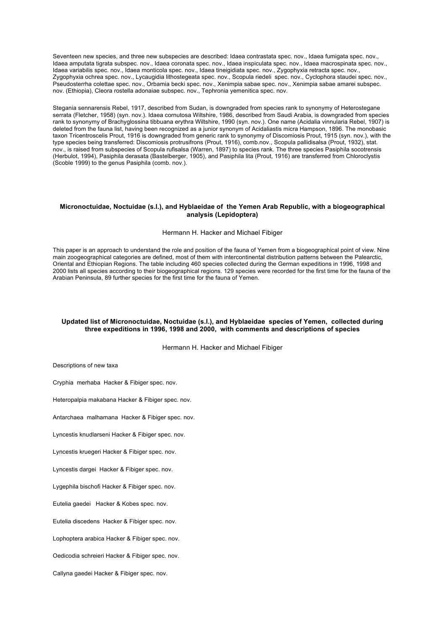Seventeen new species, and three new subspecies are described: Idaea contrastata spec, nov., Idaea fumigata spec, nov., Idaea amputata tigrata subspec. nov., Idaea coronata spec. nov., Idaea inspiculata spec. nov., Idaea macrospinata spec. nov., Idaea variabilis spec. nov., Idaea monticola spec. nov., Idaea tineigidiata spec. nov., Zygophyxia retracta spec. nov., Zygophyxia ochrea spec. nov., Lycaugidia lithostegeata spec. nov., Scopula riedeli spec. nov., Cyclophora staudei spec. nov., Pseudosterrha colettae spec. nov., Orbamia becki spec. nov., Xenimpia sabae spec. nov., Xenimpia sabae amarei subspec. nov. (Ethiopia), Cleora rostella adonaiae subspec. nov., Tephronia yemenitica spec. nov.

Stegania sennarensis Rebel, 1917, described from Sudan, is downgraded from species rank to synonymy of Heterostegane serrata (Fletcher, 1958) (syn. nov.). Idaea cornutosa Wiltshire, 1986, described from Saudi Arabia, is downgraded from species rank to synonymy of Brachyglossina tibbuana erythra Wiltshire, 1990 (syn. nov.). One name (Acidalia vinnularia Rebel, 1907) is deleted from the fauna list, having been recognized as a junior synonym of Acidaliastis micra Hampson, 1896. The monobasic taxon Tricentroscelis Prout, 1916 is downgraded from generic rank to synonymy of Discomiosis Prout, 1915 (syn. nov.), with the type species being transferred: Discomiosis protrusifrons (Prout, 1916), comb.nov., Scopula pallidisalsa (Prout, 1932), stat. nov., is raised from subspecies of Scopula rufisalsa (Warren, 1897) to species rank. The three species Pasiphila socotrensis (Herbulot, 1994), Pasiphila derasata (Bastelberger, 1905), and Pasiphila lita (Prout, 1916) are transferred from Chloroclystis (Scoble 1999) to the genus Pasiphila (comb. nov.).

#### **Micronoctuidae, Noctuidae (s.l.), and Hyblaeidae of the Yemen Arab Republic, with a biogeographical analysis (Lepidoptera)**

#### Hermann H. Hacker and Michael Fibiger

This paper is an approach to understand the role and position of the fauna of Yemen from a biogeographical point of view. Nine main zoogeographical categories are defined, most of them with intercontinental distribution patterns between the Palearctic, Oriental and Ethiopian Regions. The table including 460 species collected during the German expeditions in 1996, 1998 and 2000 lists all species according to their biogeographical regions. 129 species were recorded for the first time for the fauna of the Arabian Peninsula, 89 further species for the first time for the fauna of Yemen.

## **Updated list of Micronoctuidae, Noctuidae (s.l.), and Hyblaeidae species of Yemen, collected during three expeditions in 1996, 1998 and 2000, with comments and descriptions of species**

Hermann H. Hacker and Michael Fibiger

Descriptions of new taxa

Cryphia merhaba Hacker & Fibiger spec. nov.

Heteropalpia makabana Hacker & Fibiger spec. nov.

Antarchaea malhamana Hacker & Fibiger spec. nov.

Lyncestis knudlarseni Hacker & Fibiger spec. nov.

Lyncestis kruegeri Hacker & Fibiger spec. nov.

Lyncestis dargei Hacker & Fibiger spec. nov.

Lygephila bischofi Hacker & Fibiger spec. nov.

Eutelia gaedei Hacker & Kobes spec. nov.

Eutelia discedens Hacker & Fibiger spec. nov.

Lophoptera arabica Hacker & Fibiger spec. nov.

Oedicodia schreieri Hacker & Fibiger spec. nov.

Callyna gaedei Hacker & Fibiger spec. nov.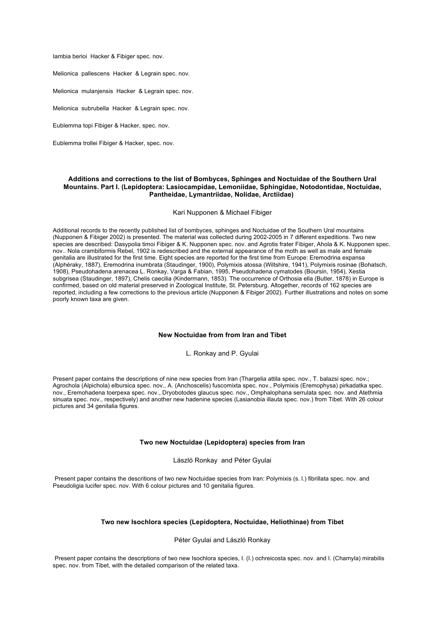Iambia berioi Hacker & Fibiger spec. nov.

Melionica pallescens Hacker & Legrain spec. nov.

Melionica mulanjensis Hacker & Legrain spec. nov.

Melionica subrubella Hacker & Legrain spec. nov.

Eublemma topi Fibiger & Hacker, spec. nov.

Eublemma trollei Fibiger & Hacker, spec. nov.

### **Additions and corrections to the list of Bombyces, Sphinges and Noctuidae of the Southern Ural Mountains. Part I. (Lepidoptera: Lasiocampidae, Lemoniidae, Sphingidae, Notodontidae, Noctuidae, Pantheidae, Lymantriidae, Nolidae, Arctiidae)**

#### Kari Nupponen & Michael Fibiger

Additional records to the recently published list of bombyces, sphinges and Noctuidae of the Southern Ural mountains (Nupponen & Fibiger 2002) is presented. The material was collected during 2002-2005 in 7 different expeditions. Two new species are described: Dasypolia timoi Fibiger & K. Nupponen spec. nov. and Agrotis frater Fibiger, Ahola & K. Nupponen spec. nov.. Nola crambiformis Rebel, 1902 is redescribed and the external appearance of the moth as well as male and female genitalia are illustrated for the first time. Eight species are reported for the first time from Europe: Eremodrina expansa (Alphéraky, 1887), Eremodrina inumbrata (Staudinger, 1900), Polymixis atossa (Wiltshire, 1941), Polymixis rosinae (Bohatsch, 1908), Pseudohadena arenacea L. Ronkay, Varga & Fabian, 1995, Pseudohadena cymatodes (Boursin, 1954), Xestia subgrisea (Staudinger, 1897), Chelis caecilia (Kindermann, 1853). The occurrence of Orthosia ella (Butler, 1878) in Europe is confirmed, based on old material preserved in Zoological Institute, St. Petersburg. Altogether, records of 162 species are reported, including a few corrections to the previous article (Nupponen & Fibiger 2002). Further illustrations and notes on some poorly known taxa are given.

#### **New Noctuidae from from Iran and Tibet**

L. Ronkay and P. Gyulai

Present paper contains the descriptions of nine new species from Iran (Thargelia attila spec. nov., T. balazsi spec. nov.; Agrochola (Alpichola) elbursica spec. nov., A. (Anchoscelis) fuscomixta spec. nov., Polymixis (Eremophysa) pirkadatka spec. nov., Eremohadena toerpexa spec. nov., Dryobotodes glaucus spec. nov., Omphalophana serrulata spec. nov. and Atethmia sinuata spec. nov., respectively) and another new hadenine species (Lasianobia illauta spec. nov.) from Tibet. With 26 colour pictures and 34 genitalia figures.

#### **Two new Noctuidae (Lepidoptera) species from Iran**

László Ronkay and Péter Gyulai

Present paper contains the descritions of two new Noctuidae species from Iran: Polymixis (s. l.) fibrillata spec. nov. and Pseudoligia lucifer spec. nov. With 6 colour pictures and 10 genitalia figures.

#### **Two new Isochlora species (Lepidoptera, Noctuidae, Heliothinae) from Tibet**

Péter Gyulai and László Ronkay

Present paper contains the descriptions of two new Isochlora species, I. (I.) ochreicosta spec. nov. and I. (Chamyla) mirabilis spec. nov. from Tibet, with the detailed comparison of the related taxa.